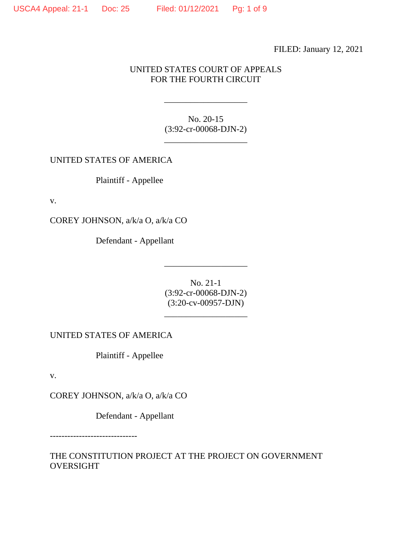FILED: January 12, 2021

## UNITED STATES COURT OF APPEALS FOR THE FOURTH CIRCUIT

No. 20-15 (3:92-cr-00068-DJN-2)

\_\_\_\_\_\_\_\_\_\_\_\_\_\_\_\_\_\_\_

\_\_\_\_\_\_\_\_\_\_\_\_\_\_\_\_\_\_\_

UNITED STATES OF AMERICA

Plaintiff - Appellee

v.

COREY JOHNSON, a/k/a O, a/k/a CO

Defendant - Appellant

No. 21-1 (3:92-cr-00068-DJN-2) (3:20-cv-00957-DJN)

\_\_\_\_\_\_\_\_\_\_\_\_\_\_\_\_\_\_\_

\_\_\_\_\_\_\_\_\_\_\_\_\_\_\_\_\_\_\_

UNITED STATES OF AMERICA

Plaintiff - Appellee

v.

COREY JOHNSON, a/k/a O, a/k/a CO

Defendant - Appellant

------------------------------

THE CONSTITUTION PROJECT AT THE PROJECT ON GOVERNMENT OVERSIGHT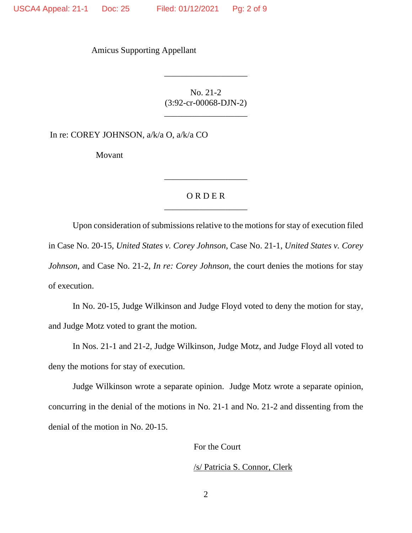Amicus Supporting Appellant

No. 21-2 (3:92-cr-00068-DJN-2)

\_\_\_\_\_\_\_\_\_\_\_\_\_\_\_\_\_\_\_

\_\_\_\_\_\_\_\_\_\_\_\_\_\_\_\_\_\_\_

In re: COREY JOHNSON, a/k/a O, a/k/a CO

Movant

## O R D E R \_\_\_\_\_\_\_\_\_\_\_\_\_\_\_\_\_\_\_

\_\_\_\_\_\_\_\_\_\_\_\_\_\_\_\_\_\_\_

Upon consideration of submissions relative to the motions for stay of execution filed in Case No. 20-15, *United States v. Corey Johnson*, Case No. 21-1, *United States v. Corey Johnson*, and Case No. 21-2, *In re: Corey Johnson*, the court denies the motions for stay of execution.

In No. 20-15, Judge Wilkinson and Judge Floyd voted to deny the motion for stay, and Judge Motz voted to grant the motion.

In Nos. 21-1 and 21-2, Judge Wilkinson, Judge Motz, and Judge Floyd all voted to deny the motions for stay of execution.

Judge Wilkinson wrote a separate opinion. Judge Motz wrote a separate opinion, concurring in the denial of the motions in No. 21-1 and No. 21-2 and dissenting from the denial of the motion in No. 20-15.

For the Court

/s/ Patricia S. Connor, Clerk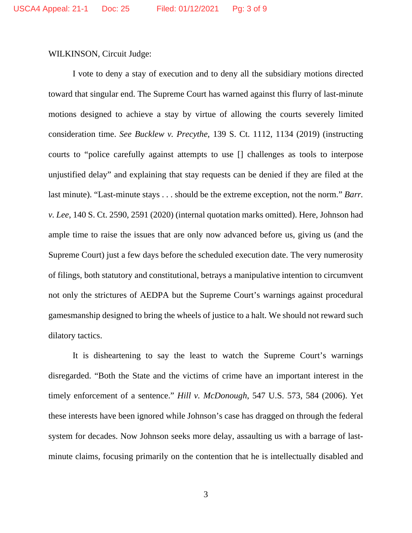WILKINSON, Circuit Judge:

I vote to deny a stay of execution and to deny all the subsidiary motions directed toward that singular end. The Supreme Court has warned against this flurry of last-minute motions designed to achieve a stay by virtue of allowing the courts severely limited consideration time. *See Bucklew v. Precythe*, 139 S. Ct. 1112, 1134 (2019) (instructing courts to "police carefully against attempts to use [] challenges as tools to interpose unjustified delay" and explaining that stay requests can be denied if they are filed at the last minute). "Last-minute stays . . . should be the extreme exception, not the norm." *Barr. v. Lee*, 140 S. Ct. 2590, 2591 (2020) (internal quotation marks omitted). Here, Johnson had ample time to raise the issues that are only now advanced before us, giving us (and the Supreme Court) just a few days before the scheduled execution date. The very numerosity of filings, both statutory and constitutional, betrays a manipulative intention to circumvent not only the strictures of AEDPA but the Supreme Court's warnings against procedural gamesmanship designed to bring the wheels of justice to a halt. We should not reward such dilatory tactics.

It is disheartening to say the least to watch the Supreme Court's warnings disregarded. "Both the State and the victims of crime have an important interest in the timely enforcement of a sentence." *Hill v. McDonough*, 547 U.S. 573, 584 (2006). Yet these interests have been ignored while Johnson's case has dragged on through the federal system for decades. Now Johnson seeks more delay, assaulting us with a barrage of lastminute claims, focusing primarily on the contention that he is intellectually disabled and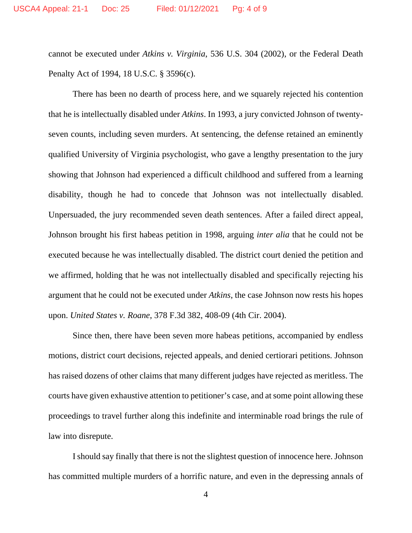cannot be executed under *Atkins v. Virginia*, 536 U.S. 304 (2002), or the Federal Death Penalty Act of 1994, 18 U.S.C. § 3596(c).

There has been no dearth of process here, and we squarely rejected his contention that he is intellectually disabled under *Atkins*. In 1993, a jury convicted Johnson of twentyseven counts, including seven murders. At sentencing, the defense retained an eminently qualified University of Virginia psychologist, who gave a lengthy presentation to the jury showing that Johnson had experienced a difficult childhood and suffered from a learning disability, though he had to concede that Johnson was not intellectually disabled. Unpersuaded, the jury recommended seven death sentences. After a failed direct appeal, Johnson brought his first habeas petition in 1998, arguing *inter alia* that he could not be executed because he was intellectually disabled. The district court denied the petition and we affirmed, holding that he was not intellectually disabled and specifically rejecting his argument that he could not be executed under *Atkins*, the case Johnson now rests his hopes upon. *United States v. Roane*, 378 F.3d 382, 408-09 (4th Cir. 2004).

Since then, there have been seven more habeas petitions, accompanied by endless motions, district court decisions, rejected appeals, and denied certiorari petitions. Johnson has raised dozens of other claims that many different judges have rejected as meritless. The courts have given exhaustive attention to petitioner's case, and at some point allowing these proceedings to travel further along this indefinite and interminable road brings the rule of law into disrepute.

I should say finally that there is not the slightest question of innocence here. Johnson has committed multiple murders of a horrific nature, and even in the depressing annals of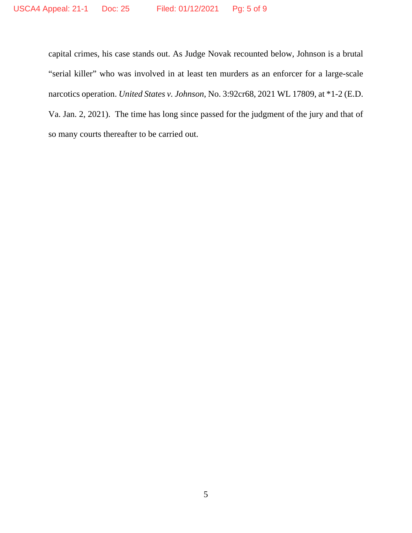capital crimes, his case stands out. As Judge Novak recounted below, Johnson is a brutal "serial killer" who was involved in at least ten murders as an enforcer for a large-scale narcotics operation. *United States v. Johnson*, No. 3:92cr68, 2021 WL 17809, at \*1-2 (E.D. Va. Jan. 2, 2021). The time has long since passed for the judgment of the jury and that of so many courts thereafter to be carried out.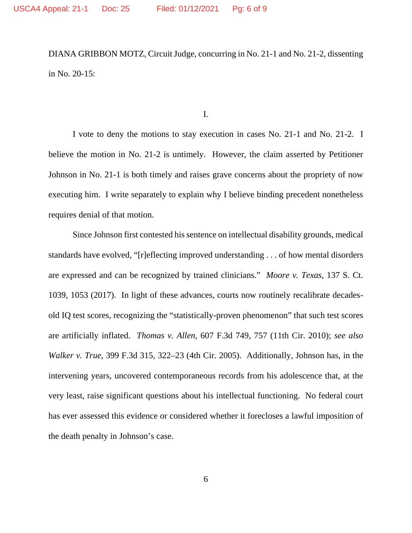DIANA GRIBBON MOTZ, Circuit Judge, concurring in No. 21-1 and No. 21-2, dissenting in No. 20-15:

I.

I vote to deny the motions to stay execution in cases No. 21-1 and No. 21-2. I believe the motion in No. 21-2 is untimely. However, the claim asserted by Petitioner Johnson in No. 21-1 is both timely and raises grave concerns about the propriety of now executing him. I write separately to explain why I believe binding precedent nonetheless requires denial of that motion.

Since Johnson first contested his sentence on intellectual disability grounds, medical standards have evolved, "[r]eflecting improved understanding . . . of how mental disorders are expressed and can be recognized by trained clinicians." *Moore v. Texas*, 137 S. Ct. 1039, 1053 (2017). In light of these advances, courts now routinely recalibrate decadesold IQ test scores, recognizing the "statistically-proven phenomenon" that such test scores are artificially inflated. *Thomas v. Allen*, 607 F.3d 749, 757 (11th Cir. 2010); *see also Walker v. True*, 399 F.3d 315, 322–23 (4th Cir. 2005). Additionally, Johnson has, in the intervening years, uncovered contemporaneous records from his adolescence that, at the very least, raise significant questions about his intellectual functioning. No federal court has ever assessed this evidence or considered whether it forecloses a lawful imposition of the death penalty in Johnson's case.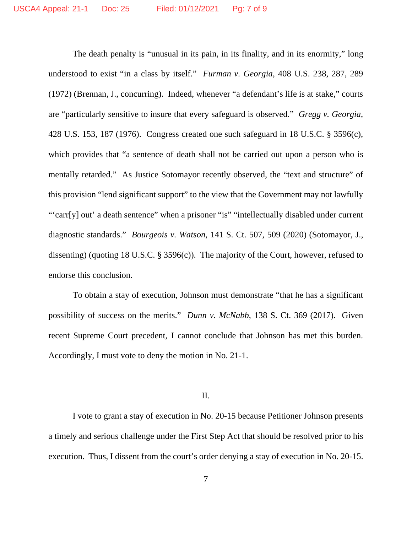The death penalty is "unusual in its pain, in its finality, and in its enormity," long understood to exist "in a class by itself." *Furman v. Georgia*, 408 U.S. 238, 287, 289 (1972) (Brennan, J., concurring). Indeed, whenever "a defendant's life is at stake," courts are "particularly sensitive to insure that every safeguard is observed." *Gregg v. Georgia*, 428 U.S. 153, 187 (1976). Congress created one such safeguard in 18 U.S.C. § 3596(c), which provides that "a sentence of death shall not be carried out upon a person who is mentally retarded." As Justice Sotomayor recently observed, the "text and structure" of this provision "lend significant support" to the view that the Government may not lawfully "'carr[y] out' a death sentence" when a prisoner "is" "intellectually disabled under current diagnostic standards." *Bourgeois v. Watson*, 141 S. Ct. 507, 509 (2020) (Sotomayor, J., dissenting) (quoting 18 U.S.C. § 3596(c)). The majority of the Court, however, refused to endorse this conclusion.

To obtain a stay of execution, Johnson must demonstrate "that he has a significant possibility of success on the merits." *Dunn v. McNabb*, 138 S. Ct. 369 (2017). Given recent Supreme Court precedent, I cannot conclude that Johnson has met this burden. Accordingly, I must vote to deny the motion in No. 21-1.

II.

I vote to grant a stay of execution in No. 20-15 because Petitioner Johnson presents a timely and serious challenge under the First Step Act that should be resolved prior to his execution. Thus, I dissent from the court's order denying a stay of execution in No. 20-15.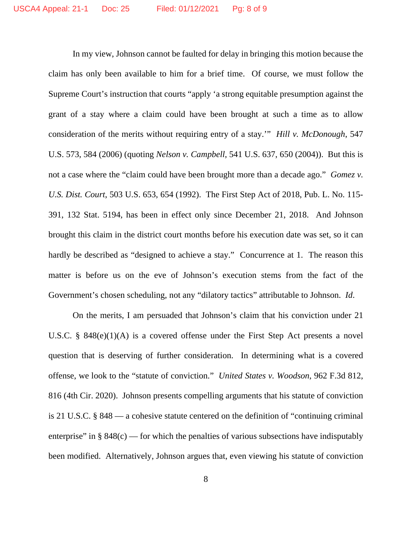In my view, Johnson cannot be faulted for delay in bringing this motion because the claim has only been available to him for a brief time. Of course, we must follow the Supreme Court's instruction that courts "apply 'a strong equitable presumption against the grant of a stay where a claim could have been brought at such a time as to allow consideration of the merits without requiring entry of a stay.'" *Hill v. McDonough*, 547 U.S. 573, 584 (2006) (quoting *Nelson v. Campbell*, 541 U.S. 637, 650 (2004)). But this is not a case where the "claim could have been brought more than a decade ago." *Gomez v. U.S. Dist. Court*, 503 U.S. 653, 654 (1992). The First Step Act of 2018, Pub. L. No. 115- 391, 132 Stat. 5194, has been in effect only since December 21, 2018. And Johnson brought this claim in the district court months before his execution date was set, so it can hardly be described as "designed to achieve a stay." Concurrence at 1. The reason this matter is before us on the eve of Johnson's execution stems from the fact of the Government's chosen scheduling, not any "dilatory tactics" attributable to Johnson. *Id*.

On the merits, I am persuaded that Johnson's claim that his conviction under 21 U.S.C. § 848(e)(1)(A) is a covered offense under the First Step Act presents a novel question that is deserving of further consideration. In determining what is a covered offense, we look to the "statute of conviction." *United States v. Woodson*, 962 F.3d 812, 816 (4th Cir. 2020). Johnson presents compelling arguments that his statute of conviction is 21 U.S.C. § 848 — a cohesive statute centered on the definition of "continuing criminal enterprise" in  $\S 848(c)$  — for which the penalties of various subsections have indisputably been modified. Alternatively, Johnson argues that, even viewing his statute of conviction